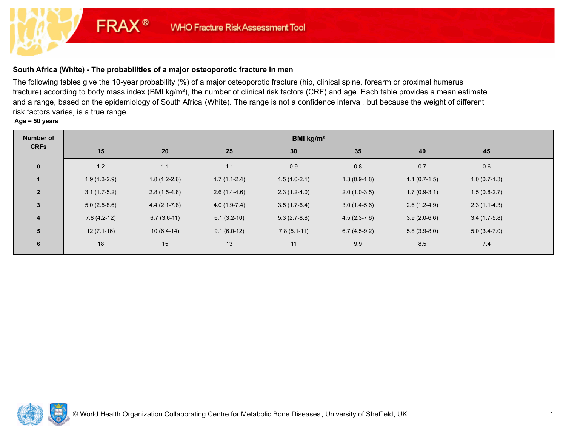# **South Africa (White) - The probabilities of a major osteoporotic fracture in men**

**FRAX®** 

The following tables give the 10-year probability (%) of a major osteoporotic fracture (hip, clinical spine, forearm or proximal humerus fracture) according to body mass index (BMI kg/m²), the number of clinical risk factors (CRF) and age. Each table provides a mean estimate and a range, based on the epidemiology of South Africa (White). The range is not a confidence interval, but because the weight of different risk factors varies, is a true range.

**Age = 50 years**

| <b>Number of</b>     | BMI kg/m <sup>2</sup> |                  |                |                |                |                |                |  |  |  |
|----------------------|-----------------------|------------------|----------------|----------------|----------------|----------------|----------------|--|--|--|
| <b>CRFs</b>          | 15                    | 20               | 25             | 30             | 35             | 40             | 45             |  |  |  |
| $\mathbf 0$          | $1.2$                 | 1.1              | 1.1            | 0.9            | $0.8\,$        | 0.7            | 0.6            |  |  |  |
| $\blacktriangleleft$ | $1.9(1.3-2.9)$        | $1.8(1.2-2.6)$   | $1.7(1.1-2.4)$ | $1.5(1.0-2.1)$ | $1.3(0.9-1.8)$ | $1.1(0.7-1.5)$ | $1.0(0.7-1.3)$ |  |  |  |
| $2^{\circ}$          | $3.1(1.7-5.2)$        | $2.8(1.5-4.8)$   | $2.6(1.4-4.6)$ | $2.3(1.2-4.0)$ | $2.0(1.0-3.5)$ | $1.7(0.9-3.1)$ | $1.5(0.8-2.7)$ |  |  |  |
| $\mathbf{3}$         | $5.0(2.5-8.6)$        | $4.4(2.1 - 7.8)$ | $4.0(1.9-7.4)$ | $3.5(1.7-6.4)$ | $3.0(1.4-5.6)$ | $2.6(1.2-4.9)$ | $2.3(1.1-4.3)$ |  |  |  |
| 4                    | $7.8(4.2-12)$         | $6.7(3.6-11)$    | $6.1(3.2-10)$  | $5.3(2.7-8.8)$ | $4.5(2.3-7.6)$ | $3.9(2.0-6.6)$ | $3.4(1.7-5.8)$ |  |  |  |
| $5\phantom{1}$       | $12(7.1-16)$          | $10(6.4-14)$     | $9.1(6.0-12)$  | $7.8(5.1-11)$  | $6.7(4.5-9.2)$ | $5.8(3.9-8.0)$ | $5.0(3.4-7.0)$ |  |  |  |
| 6                    | 18                    | 15               | 13             | 11             | 9.9            | 8.5            | 7.4            |  |  |  |

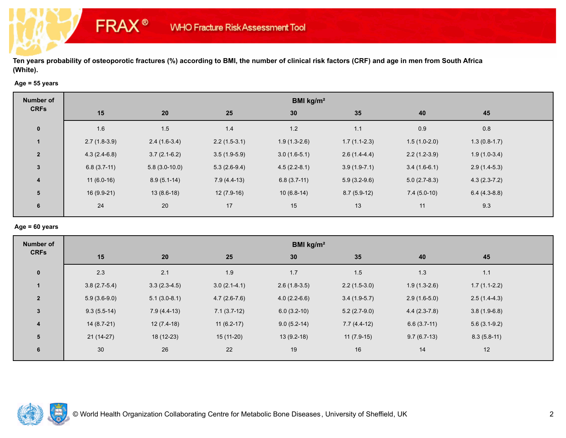## **Age = 55 years**

**FRAX®** 

| 35<br>40<br>45                                     |
|----------------------------------------------------|
| $0.8\,$<br>0.9<br>1.1                              |
| $1.7(1.1-2.3)$<br>$1.5(1.0-2.0)$<br>$1.3(0.8-1.7)$ |
| $2.2(1.2-3.9)$<br>$1.9(1.0-3.4)$<br>$2.6(1.4-4.4)$ |
| $3.9(1.9-7.1)$<br>$3.4(1.6-6.1)$<br>$2.9(1.4-5.3)$ |
| $5.0(2.7-8.3)$<br>$4.3(2.3-7.2)$<br>$5.9(3.2-9.6)$ |
| $7.4(5.0-10)$<br>$8.7(5.9-12)$<br>$6.4(4.3-8.8)$   |
| 9.3<br>13<br>11                                    |
|                                                    |

#### **Age = 60 years**

| <b>Number of</b> | BMI kg/m <sup>2</sup> |                |                |                |                |                |                |  |  |  |
|------------------|-----------------------|----------------|----------------|----------------|----------------|----------------|----------------|--|--|--|
| <b>CRFs</b>      | 15                    | 20             | 25             | 30             | 35             | 40             | 45             |  |  |  |
| $\mathbf 0$      | 2.3                   | 2.1            | 1.9            | 1.7            | 1.5            | 1.3            | $1.1$          |  |  |  |
|                  | $3.8(2.7-5.4)$        | $3.3(2.3-4.5)$ | $3.0(2.1-4.1)$ | $2.6(1.8-3.5)$ | $2.2(1.5-3.0)$ | $1.9(1.3-2.6)$ | $1.7(1.1-2.2)$ |  |  |  |
| $\overline{2}$   | $5.9(3.6-9.0)$        | $5.1(3.0-8.1)$ | $4.7(2.6-7.6)$ | $4.0(2.2-6.6)$ | $3.4(1.9-5.7)$ | $2.9(1.6-5.0)$ | $2.5(1.4-4.3)$ |  |  |  |
| $\mathbf{3}$     | $9.3(5.5-14)$         | $7.9(4.4-13)$  | $7.1(3.7-12)$  | $6.0(3.2-10)$  | $5.2(2.7-9.0)$ | $4.4(2.3-7.8)$ | $3.8(1.9-6.8)$ |  |  |  |
| $\overline{4}$   | $14(8.7-21)$          | $12(7.4-18)$   | $11(6.2-17)$   | $9.0(5.2-14)$  | $7.7(4.4-12)$  | $6.6(3.7-11)$  | $5.6(3.1-9.2)$ |  |  |  |
| 5                | $21(14-27)$           | 18 (12-23)     | 15 (11-20)     | $13(9.2-18)$   | $11(7.9-15)$   | $9.7(6.7-13)$  | $8.3(5.8-11)$  |  |  |  |
| 6                | 30                    | 26             | 22             | 19             | 16             | 14             | 12             |  |  |  |

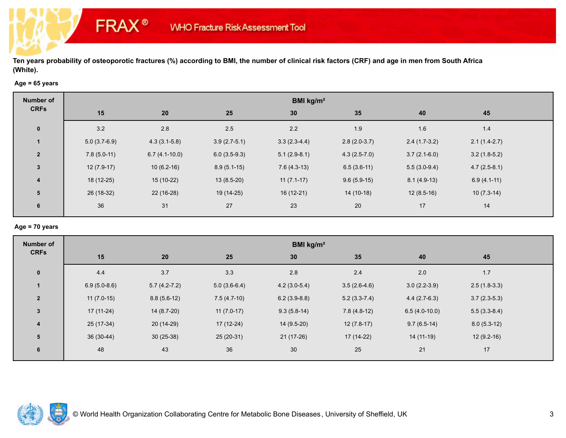## **Age = 65 years**

**FRAX®** 

| <b>Number of</b>        | BMI kg/m <sup>2</sup> |                 |                |                |                |                |                |  |  |  |
|-------------------------|-----------------------|-----------------|----------------|----------------|----------------|----------------|----------------|--|--|--|
| <b>CRFs</b>             | 15                    | 20              | 25             | 30             | 35             | 40             | 45             |  |  |  |
| $\mathbf 0$             | 3.2                   | 2.8             | 2.5            | 2.2            | 1.9            | 1.6            | 1.4            |  |  |  |
|                         | $5.0(3.7-6.9)$        | $4.3(3.1-5.8)$  | $3.9(2.7-5.1)$ | $3.3(2.3-4.4)$ | $2.8(2.0-3.7)$ | $2.4(1.7-3.2)$ | $2.1(1.4-2.7)$ |  |  |  |
| $\overline{2}$          | $7.8(5.0-11)$         | $6.7(4.1-10.0)$ | $6.0(3.5-9.3)$ | $5.1(2.9-8.1)$ | $4.3(2.5-7.0)$ | $3.7(2.1-6.0)$ | $3.2(1.8-5.2)$ |  |  |  |
| $\mathbf{3}$            | $12(7.9-17)$          | $10(6.2-16)$    | $8.9(5.1-15)$  | $7.6(4.3-13)$  | $6.5(3.6-11)$  | $5.5(3.0-9.4)$ | $4.7(2.5-8.1)$ |  |  |  |
| $\overline{\mathbf{4}}$ | $18(12-25)$           | $15(10-22)$     | $13(8.5-20)$   | $11(7.1-17)$   | $9.6(5.9-15)$  | $8.1(4.9-13)$  | $6.9(4.1-11)$  |  |  |  |
| 5                       | 26 (18-32)            | $22(16-28)$     | 19 (14-25)     | $16(12-21)$    | $14(10-18)$    | $12(8.5-16)$   | $10(7.3-14)$   |  |  |  |
| 6                       | 36                    | 31              | 27             | 23             | 20             | 17             | 14             |  |  |  |
|                         |                       |                 |                |                |                |                |                |  |  |  |

## **Age = 70 years**

| <b>Number of</b>        | BMI kg/m <sup>2</sup> |                  |                |                |                |                 |                |  |  |  |
|-------------------------|-----------------------|------------------|----------------|----------------|----------------|-----------------|----------------|--|--|--|
| <b>CRFs</b>             | 15                    | 20               | 25             | 30             | 35             | 40              | 45             |  |  |  |
| $\mathbf{0}$            | 4.4                   | 3.7              | 3.3            | 2.8            | 2.4            | 2.0             | 1.7            |  |  |  |
| $\mathbf{1}$            | $6.9(5.0-8.6)$        | $5.7(4.2 - 7.2)$ | $5.0(3.6-6.4)$ | $4.2(3.0-5.4)$ | $3.5(2.6-4.6)$ | $3.0(2.2-3.9)$  | $2.5(1.8-3.3)$ |  |  |  |
| $\overline{2}$          | $11(7.0-15)$          | $8.8(5.6-12)$    | $7.5(4.7-10)$  | $6.2(3.9-8.8)$ | $5.2(3.3-7.4)$ | $4.4(2.7-6.3)$  | $3.7(2.3-5.3)$ |  |  |  |
| $\mathbf{3}$            | $17(11-24)$           | 14 (8.7-20)      | $11(7.0-17)$   | $9.3(5.8-14)$  | $7.8(4.8-12)$  | $6.5(4.0-10.0)$ | $5.5(3.3-8.4)$ |  |  |  |
| $\overline{\mathbf{4}}$ | $25(17-34)$           | $20(14-29)$      | $17(12-24)$    | $14(9.5-20)$   | $12(7.8-17)$   | $9.7(6.5-14)$   | $8.0(5.3-12)$  |  |  |  |
| 5                       | $36(30-44)$           | $30(25-38)$      | $25(20-31)$    | $21(17-26)$    | 17 (14-22)     | $14(11-19)$     | $12(9.2-16)$   |  |  |  |
| 6                       | 48                    | 43               | 36             | 30             | 25             | 21              | 17             |  |  |  |

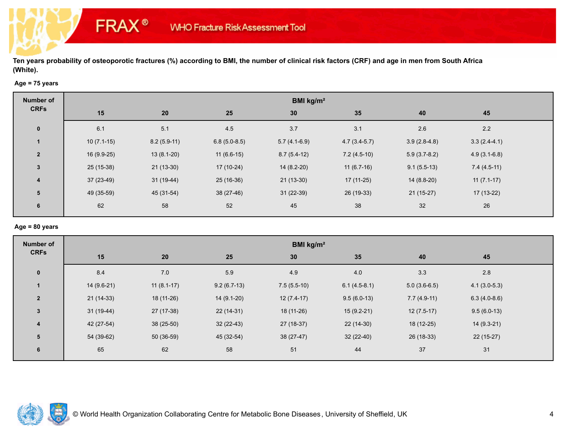## **Age = 75 years**

**FRAX®** 

| <b>Number of</b> | BMI kg/m <sup>2</sup> |               |                |                |                |                |                |  |  |  |
|------------------|-----------------------|---------------|----------------|----------------|----------------|----------------|----------------|--|--|--|
| <b>CRFs</b>      | 15                    | 20            | 25             | 30             | 35             | 40             | 45             |  |  |  |
| $\mathbf 0$      | 6.1                   | 5.1           | 4.5            | 3.7            | 3.1            | 2.6            | 2.2            |  |  |  |
|                  | $10(7.1-15)$          | $8.2(5.9-11)$ | $6.8(5.0-8.5)$ | $5.7(4.1-6.9)$ | $4.7(3.4-5.7)$ | $3.9(2.8-4.8)$ | $3.3(2.4-4.1)$ |  |  |  |
| $\overline{2}$   | $16(9.9-25)$          | $13(8.1-20)$  | $11(6.6-15)$   | $8.7(5.4-12)$  | $7.2(4.5-10)$  | $5.9(3.7-8.2)$ | $4.9(3.1-6.8)$ |  |  |  |
| $\mathbf{3}$     | $25(15-38)$           | $21(13-30)$   | 17 (10-24)     | $14(8.2-20)$   | $11(6.7-16)$   | $9.1(5.5-13)$  | $7.4(4.5-11)$  |  |  |  |
| 4                | $37(23-49)$           | $31(19-44)$   | $25(16-36)$    | $21(13-30)$    | $17(11-25)$    | $14(8.8-20)$   | $11(7.1-17)$   |  |  |  |
| 5                | 49 (35-59)            | 45 (31-54)    | 38 (27-46)     | $31(22-39)$    | 26 (19-33)     | $21(15-27)$    | 17 (13-22)     |  |  |  |
| 6                | 62                    | 58            | 52             | 45             | 38             | 32             | 26             |  |  |  |
|                  |                       |               |                |                |                |                |                |  |  |  |

## **Age = 80 years**

| <b>Number of</b> | BMI kg/m <sup>2</sup> |              |               |               |                |                |                |  |  |  |
|------------------|-----------------------|--------------|---------------|---------------|----------------|----------------|----------------|--|--|--|
| <b>CRFs</b>      | 15                    | 20           | 25            | 30            | 35             | 40             | 45             |  |  |  |
| $\mathbf 0$      | 8.4                   | 7.0          | 5.9           | 4.9           | 4.0            | 3.3            | $2.8$          |  |  |  |
|                  | $14(9.6-21)$          | $11(8.1-17)$ | $9.2(6.7-13)$ | $7.5(5.5-10)$ | $6.1(4.5-8.1)$ | $5.0(3.6-6.5)$ | $4.1(3.0-5.3)$ |  |  |  |
| $\overline{2}$   | $21(14-33)$           | 18 (11-26)   | $14(9.1-20)$  | $12(7.4-17)$  | $9.5(6.0-13)$  | $7.7(4.9-11)$  | $6.3(4.0-8.6)$ |  |  |  |
| $\mathbf{3}$     | $31(19-44)$           | 27 (17-38)   | $22(14-31)$   | 18 (11-26)    | $15(9.2-21)$   | $12(7.5-17)$   | $9.5(6.0-13)$  |  |  |  |
| $\overline{4}$   | 42 (27-54)            | $38(25-50)$  | $32(22-43)$   | $27(18-37)$   | $22(14-30)$    | 18 (12-25)     | $14(9.3-21)$   |  |  |  |
| 5                | 54 (39-62)            | $50(36-59)$  | 45 (32-54)    | $38(27-47)$   | $32(22-40)$    | 26 (18-33)     | $22(15-27)$    |  |  |  |
| 6                | 65                    | 62           | 58            | 51            | 44             | 37             | 31             |  |  |  |